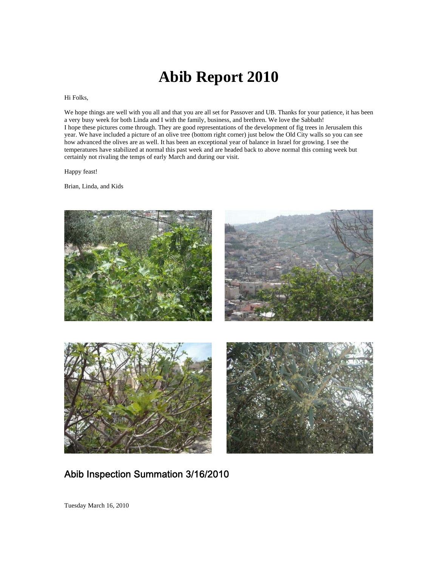# **Abib Report 2010**

#### Hi Folks,

We hope things are well with you all and that you are all set for Passover and UB. Thanks for your patience, it has been a very busy week for both Linda and I with the family, business, and brethren. We love the Sabbath! I hope these pictures come through. They are good representations of the development of fig trees in Jerusalem this year. We have included a picture of an olive tree (bottom right corner) just below the Old City walls so you can see how advanced the olives are as well. It has been an exceptional year of balance in Israel for growing. I see the temperatures have stabilized at normal this past week and are headed back to above normal this coming week but certainly not rivaling the temps of early March and during our visit.

Happy feast!

Brian, Linda, and Kids



## Abib Inspection Summation 3/16/2010

Tuesday March 16, 2010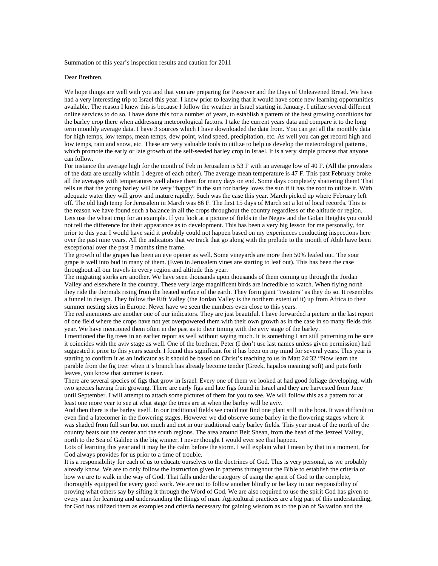Summation of this year's inspection results and caution for 2011

Dear Brethren,

We hope things are well with you and that you are preparing for Passover and the Days of Unleavened Bread. We have had a very interesting trip to Israel this year. I knew prior to leaving that it would have some new learning opportunities available. The reason I knew this is because I follow the weather in Israel starting in January. I utilize several different online services to do so. I have done this for a number of years, to establish a pattern of the best growing conditions for the barley crop there when addressing meteorological factors. I take the current years data and compare it to the long term monthly average data. I have 3 sources which I have downloaded the data from. You can get all the monthly data for high temps, low temps, mean temps, dew point, wind speed, precipitation, etc. As well you can get record high and low temps, rain and snow, etc. These are very valuable tools to utilize to help us develop the meteorological patterns, which promote the early or late growth of the self-seeded barley crop in Israel. It is a very simple process that anyone can follow.

For instance the average high for the month of Feb in Jerusalem is 53 F with an average low of 40 F. (All the providers of the data are usually within 1 degree of each other). The average mean temperature is 47 F. This past February broke all the averages with temperatures well above them for many days on end. Some days completely shattering them! That tells us that the young barley will be very "happy" in the sun for barley loves the sun if it has the root to utilize it. With adequate water they will grow and mature rapidly. Such was the case this year. March picked up where February left off. The old high temp for Jerusalem in March was 86 F. The first 15 days of March set a lot of local records. This is the reason we have found such a balance in all the crops throughout the country regardless of the altitude or region. Lets use the wheat crop for an example. If you look at a picture of fields in the Negev and the Golan Heights you could not tell the difference for their appearance as to development. This has been a very big lesson for me personally, for prior to this year I would have said it probably could not happen based on my experiences conducting inspections here over the past nine years. All the indicators that we track that go along with the prelude to the month of Abib have been exceptional over the past 3 months time frame.

The growth of the grapes has been an eye opener as well. Some vineyards are more then 50% leafed out. The sour grape is well into bud in many of them. (Even in Jerusalem vines are starting to leaf out). This has been the case throughout all our travels in every region and altitude this year.

The migrating storks are another. We have seen thousands upon thousands of them coming up through the Jordan Valley and elsewhere in the country. These very large magnificent birds are incredible to watch. When flying north they ride the thermals rising from the heated surface of the earth. They form giant "twisters" as they do so. It resembles a funnel in design. They follow the Rift Valley (the Jordan Valley is the northern extent of it) up from Africa to their summer nesting sites in Europe. Never have we seen the numbers even close to this years.

The red anemones are another one of our indicators. They are just beautiful. I have forwarded a picture in the last report of one field where the crops have not yet overpowered them with their own growth as in the case in so many fields this year. We have mentioned them often in the past as to their timing with the aviv stage of the barley.

I mentioned the fig trees in an earlier report as well without saying much. It is something I am still patterning to be sure it coincides with the aviv stage as well. One of the brethren, Peter (I don't use last names unless given permission) had suggested it prior to this years search. I found this significant for it has been on my mind for several years. This year is starting to confirm it as an indicator as it should be based on Christ's teaching to us in Matt 24:32 "Now learn the parable from the fig tree: when it's branch has already become tender (Greek, hapalos meaning soft) and puts forth leaves, you know that summer is near.

There are several species of figs that grow in Israel. Every one of them we looked at had good foliage developing, with two species having fruit growing. There are early figs and late figs found in Israel and they are harvested from June until September. I will attempt to attach some pictures of them for you to see. We will follow this as a pattern for at least one more year to see at what stage the trees are at when the barley will be aviv.

And then there is the barley itself. In our traditional fields we could not find one plant still in the boot. It was difficult to even find a latecomer in the flowering stages. However we did observe some barley in the flowering stages where it was shaded from full sun but not much and not in our traditional early barley fields. This year most of the north of the country beats out the center and the south regions. The area around Beit Shean, from the head of the Jezreel Valley, north to the Sea of Galilee is the big winner. I never thought I would ever see that happen.

Lots of learning this year and it may be the calm before the storm. I will explain what I mean by that in a moment, for God always provides for us prior to a time of trouble.

It is a responsibility for each of us to educate ourselves to the doctrines of God. This is very personal, as we probably already know. We are to only follow the instruction given in patterns throughout the Bible to establish the criteria of how we are to walk in the way of God. That falls under the category of using the spirit of God to the complete, thoroughly equipped for every good work. We are not to follow another blindly or be lazy in our responsibility of proving what others say by sifting it through the Word of God. We are also required to use the spirit God has given to every man for learning and understanding the things of man. Agricultural practices are a big part of this understanding, for God has utilized them as examples and criteria necessary for gaining wisdom as to the plan of Salvation and the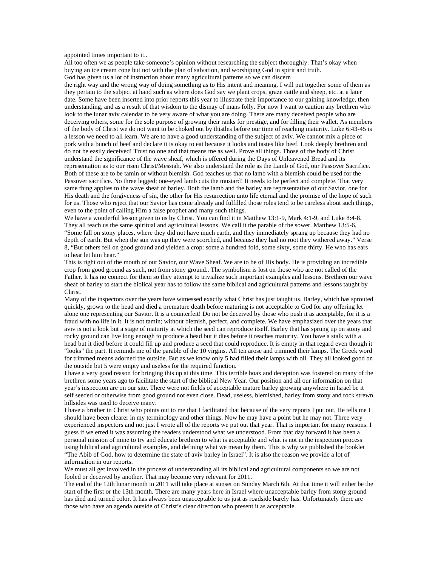appointed times important to it..

All too often we as people take someone's opinion without researching the subject thoroughly. That's okay when buying an ice cream cone but not with the plan of salvation, and worshiping God in spirit and truth. God has given us a lot of instruction about many agricultural patterns so we can discern

the right way and the wrong way of doing something as to His intent and meaning. I will put together some of them as they pertain to the subject at hand such as where does God say we plant crops, graze cattle and sheep, etc. at a later date. Some have been inserted into prior reports this year to illustrate their importance to our gaining knowledge, then understanding, and as a result of that wisdom to the dismay of mans folly. For now I want to caution any brethren who look to the lunar aviv calendar to be very aware of what you are doing. There are many deceived people who are deceiving others, some for the sole purpose of growing their ranks for prestige, and for filling their wallet. As members of the body of Christ we do not want to be choked out by thistles before our time of reaching maturity. Luke 6:43-45 is a lesson we need to all learn. We are to have a good understanding of the subject of aviv. We cannot mix a piece of pork with a bunch of beef and declare it is okay to eat because it looks and tastes like beef. Look deeply brethren and do not be easily deceived! Trust no one and that means me as well. Prove all things. Those of the body of Christ understand the significance of the wave sheaf, which is offered during the Days of Unleavened Bread and its representation as to our risen Christ/Messiah. We also understand the role as the Lamb of God, our Passover Sacrifice. Both of these are to be tamin or without blemish. God teaches us that no lamb with a blemish could be used for the Passover sacrifice. No three legged; one-eyed lamb cuts the mustard! It needs to be perfect and complete. That very same thing applies to the wave sheaf of barley. Both the lamb and the barley are representative of our Savior, one for His death and the forgiveness of sin, the other for His resurrection unto life eternal and the promise of the hope of such for us. Those who reject that our Savior has come already and fulfilled those roles tend to be careless about such things, even to the point of calling Him a false prophet and many such things.

We have a wonderful lesson given to us by Christ. You can find it in Matthew 13:1-9, Mark 4:1-9, and Luke 8:4-8. They all teach us the same spiritual and agricultural lessons. We call it the parable of the sower. Matthew 13:5-6, "Some fall on stony places, where they did not have much earth, and they immediately sprang up because they had no depth of earth. But when the sun was up they were scorched, and because they had no root they withered away." Verse 8, "But others fell on good ground and yielded a crop: some a hundred fold, some sixty, some thirty. He who has ears to hear let him hear."

This is right out of the mouth of our Savior, our Wave Sheaf. We are to be of His body. He is providing an incredible crop from good ground as such, not from stony ground.. The symbolism is lost on those who are not called of the Father. It has no connect for them so they attempt to trivialize such important examples and lessons. Brethren our wave sheaf of barley to start the biblical year has to follow the same biblical and agricultural patterns and lessons taught by Christ.

Many of the inspectors over the years have witnessed exactly what Christ has just taught us. Barley, which has sprouted quickly, grown to the head and died a premature death before maturing is not acceptable to God for any offering let alone one representing our Savior. It is a counterfeit! Do not be deceived by those who push it as acceptable, for it is a fraud with no life in it. It is not tamin; without blemish, perfect, and complete. We have emphasized over the years that aviv is not a look but a stage of maturity at which the seed can reproduce itself. Barley that has sprung up on stony and rocky ground can live long enough to produce a head but it dies before it reaches maturity. You have a stalk with a head but it died before it could fill up and produce a seed that could reproduce. It is empty in that regard even though it "looks" the part. It reminds me of the parable of the 10 virgins. All ten arose and trimmed their lamps. The Greek word for trimmed means adorned the outside. But as we know only 5 had filled their lamps with oil. They all looked good on the outside but 5 were empty and useless for the required function.

I have a very good reason for bringing this up at this time. This terrible hoax and deception was fostered on many of the brethren some years ago to facilitate the start of the biblical New Year. Our position and all our information on that year's inspection are on our site. There were not fields of acceptable mature barley growing anywhere in Israel be it self seeded or otherwise from good ground not even close. Dead, useless, blemished, barley from stony and rock strewn hillsides was used to deceive many.

I have a brother in Christ who points out to me that I facilitated that because of the very reports I put out. He tells me I should have been clearer in my terminology and other things. Now he may have a point but he may not. Three very experienced inspectors and not just I wrote all of the reports we put out that year. That is important for many reasons. I guess if we erred it was assuming the readers understood what we understood. From that day forward it has been a personal mission of mine to try and educate brethren to what is acceptable and what is not in the inspection process using biblical and agricultural examples, and defining what we mean by them. This is why we published the booklet "The Abib of God, how to determine the state of aviv barley in Israel". It is also the reason we provide a lot of information in our reports.

We must all get involved in the process of understanding all its biblical and agricultural components so we are not fooled or deceived by another. That may become very relevant for 2011.

The end of the 12th lunar month in 2011 will take place at sunset on Sunday March 6th. At that time it will either be the start of the first or the 13th month. There are many years here in Israel where unacceptable barley from stony ground has died and turned color. It has always been unacceptable to us just as roadside barely has. Unfortunately there are those who have an agenda outside of Christ's clear direction who present it as acceptable.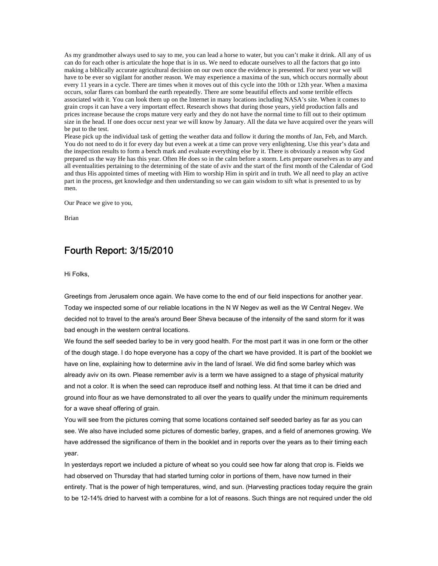As my grandmother always used to say to me, you can lead a horse to water, but you can't make it drink. All any of us can do for each other is articulate the hope that is in us. We need to educate ourselves to all the factors that go into making a biblically accurate agricultural decision on our own once the evidence is presented. For next year we will have to be ever so vigilant for another reason. We may experience a maxima of the sun, which occurs normally about every 11 years in a cycle. There are times when it moves out of this cycle into the 10th or 12th year. When a maxima occurs, solar flares can bombard the earth repeatedly. There are some beautiful effects and some terrible effects associated with it. You can look them up on the Internet in many locations including NASA's site. When it comes to grain crops it can have a very important effect. Research shows that during those years, yield production falls and prices increase because the crops mature very early and they do not have the normal time to fill out to their optimum size in the head. If one does occur next year we will know by January. All the data we have acquired over the years will be put to the test.

Please pick up the individual task of getting the weather data and follow it during the months of Jan, Feb, and March. You do not need to do it for every day but even a week at a time can prove very enlightening. Use this year's data and the inspection results to form a bench mark and evaluate everything else by it. There is obviously a reason why God prepared us the way He has this year. Often He does so in the calm before a storm. Lets prepare ourselves as to any and all eventualities pertaining to the determining of the state of aviv and the start of the first month of the Calendar of God and thus His appointed times of meeting with Him to worship Him in spirit and in truth. We all need to play an active part in the process, get knowledge and then understanding so we can gain wisdom to sift what is presented to us by men.

Our Peace we give to you,

Brian

### Fourth Report: 3/15/2010

Hi Folks,

Greetings from Jerusalem once again. We have come to the end of our field inspections for another year. Today we inspected some of our reliable locations in the N W Negev as well as the W Central Negev. We decided not to travel to the area's around Beer Sheva because of the intensity of the sand storm for it was bad enough in the western central locations.

We found the self seeded barley to be in very good health. For the most part it was in one form or the other of the dough stage. I do hope everyone has a copy of the chart we have provided. It is part of the booklet we have on line, explaining how to determine aviv in the land of Israel. We did find some barley which was already aviv on its own. Please remember aviv is a term we have assigned to a stage of physical maturity and not a color. It is when the seed can reproduce itself and nothing less. At that time it can be dried and ground into flour as we have demonstrated to all over the years to qualify under the minimum requirements for a wave sheaf offering of grain.

You will see from the pictures coming that some locations contained self seeded barley as far as you can see. We also have included some pictures of domestic barley, grapes, and a field of anemones growing. We have addressed the significance of them in the booklet and in reports over the years as to their timing each year.

In yesterdays report we included a picture of wheat so you could see how far along that crop is. Fields we had observed on Thursday that had started turning color in portions of them, have now turned in their entirety. That is the power of high temperatures, wind, and sun. (Harvesting practices today require the grain to be 12-14% dried to harvest with a combine for a lot of reasons. Such things are not required under the old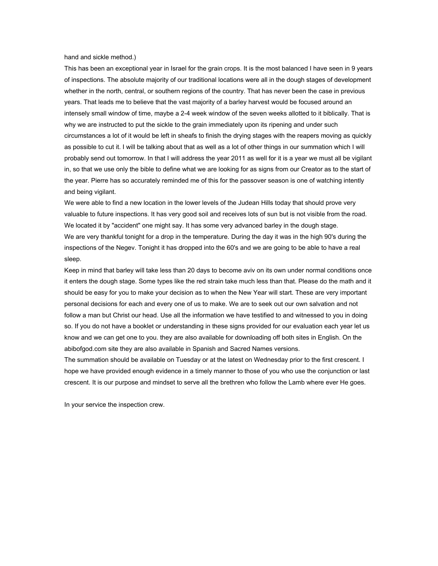hand and sickle method.)

This has been an exceptional year in Israel for the grain crops. It is the most balanced I have seen in 9 years of inspections. The absolute majority of our traditional locations were all in the dough stages of development whether in the north, central, or southern regions of the country. That has never been the case in previous years. That leads me to believe that the vast majority of a barley harvest would be focused around an intensely small window of time, maybe a 2-4 week window of the seven weeks allotted to it biblically. That is why we are instructed to put the sickle to the grain immediately upon its ripening and under such circumstances a lot of it would be left in sheafs to finish the drying stages with the reapers moving as quickly as possible to cut it. I will be talking about that as well as a lot of other things in our summation which I will probably send out tomorrow. In that I will address the year 2011 as well for it is a year we must all be vigilant in, so that we use only the bible to define what we are looking for as signs from our Creator as to the start of the year. Pierre has so accurately reminded me of this for the passover season is one of watching intently and being vigilant.

We were able to find a new location in the lower levels of the Judean Hills today that should prove very valuable to future inspections. It has very good soil and receives lots of sun but is not visible from the road. We located it by "accident" one might say. It has some very advanced barley in the dough stage. We are very thankful tonight for a drop in the temperature. During the day it was in the high 90's during the inspections of the Negev. Tonight it has dropped into the 60's and we are going to be able to have a real sleep.

Keep in mind that barley will take less than 20 days to become aviv on its own under normal conditions once it enters the dough stage. Some types like the red strain take much less than that. Please do the math and it should be easy for you to make your decision as to when the New Year will start. These are very important personal decisions for each and every one of us to make. We are to seek out our own salvation and not follow a man but Christ our head. Use all the information we have testified to and witnessed to you in doing so. If you do not have a booklet or understanding in these signs provided for our evaluation each year let us know and we can get one to you. they are also available for downloading off both sites in English. On the abibofgod.com site they are also available in Spanish and Sacred Names versions.

The summation should be available on Tuesday or at the latest on Wednesday prior to the first crescent. I hope we have provided enough evidence in a timely manner to those of you who use the conjunction or last crescent. It is our purpose and mindset to serve all the brethren who follow the Lamb where ever He goes.

In your service the inspection crew.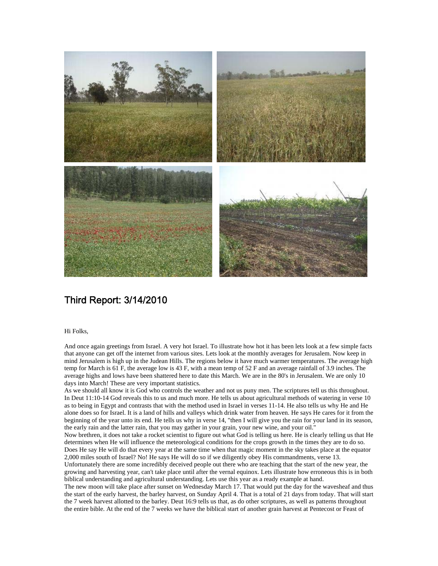

### Third Report: 3/14/2010

### Hi Folks,

And once again greetings from Israel. A very hot Israel. To illustrate how hot it has been lets look at a few simple facts that anyone can get off the internet from various sites. Lets look at the monthly averages for Jerusalem. Now keep in mind Jerusalem is high up in the Judean Hills. The regions below it have much warmer temperatures. The average high temp for March is 61 F, the average low is 43 F, with a mean temp of 52 F and an average rainfall of 3.9 inches. The average highs and lows have been shattered here to date this March. We are in the 80's in Jerusalem. We are only 10 days into March! These are very important statistics.

As we should all know it is God who controls the weather and not us puny men. The scriptures tell us this throughout. In Deut 11:10-14 God reveals this to us and much more. He tells us about agricultural methods of watering in verse 10 as to being in Egypt and contrasts that with the method used in Israel in verses 11-14. He also tells us why He and He alone does so for Israel. It is a land of hills and valleys which drink water from heaven. He says He cares for it from the beginning of the year unto its end. He tells us why in verse 14, "then I will give you the rain for your land in its season, the early rain and the latter rain, that you may gather in your grain, your new wine, and your oil."

Now brethren, it does not take a rocket scientist to figure out what God is telling us here. He is clearly telling us that He determines when He will influence the meteorological conditions for the crops growth in the times they are to do so. Does He say He will do that every year at the same time when that magic moment in the sky takes place at the equator 2,000 miles south of Israel? No! He says He will do so if we diligently obey His commandments, verse 13.

Unfortunately there are some incredibly deceived people out there who are teaching that the start of the new year, the growing and harvesting year, can't take place until after the vernal equinox. Lets illustrate how erroneous this is in both biblical understanding and agricultural understanding. Lets use this year as a ready example at hand.

The new moon will take place after sunset on Wednesday March 17. That would put the day for the wavesheaf and thus the start of the early harvest, the barley harvest, on Sunday April 4. That is a total of 21 days from today. That will start the 7 week harvest allotted to the barley. Deut 16:9 tells us that, as do other scriptures, as well as patterns throughout the entire bible. At the end of the 7 weeks we have the biblical start of another grain harvest at Pentecost or Feast of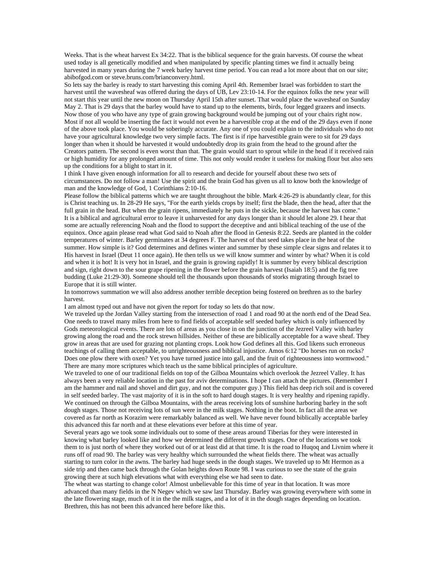Weeks. That is the wheat harvest Ex 34:22. That is the biblical sequence for the grain harvests. Of course the wheat used today is all genetically modified and when manipulated by specific planting times we find it actually being harvested in many years during the 7 week barley harvest time period. You can read a lot more about that on our site; abibofgod.com or steve.bruns.com/brianconvery.html.

So lets say the barley is ready to start harvesting this coming April 4th. Remember Israel was forbidden to start the harvest until the wavesheaf was offered during the days of UB, Lev 23:10-14. For the equinox folks the new year will not start this year until the new moon on Thursday April 15th after sunset. That would place the wavesheaf on Sunday May 2. That is 29 days that the barley would have to stand up to the elements, birds, four legged grazers and insects. Now those of you who have any type of grain growing background would be jumping out of your chairs right now. Most if not all would be inserting the fact it would not even be a harvestible crop at the end of the 29 days even if none of the above took place. You would be soberingly accurate. Any one of you could explain to the individuals who do not have your agricultural knowledge two very simple facts. The first is if ripe harvestible grain were to sit for 29 days longer than when it should be harvested it would undoubtedly drop its grain from the head to the ground after the Creators pattern. The second is even worst than that. The grain would start to sprout while in the head if it received rain or high humidity for any prolonged amount of time. This not only would render it useless for making flour but also sets up the conditions for a blight to start in it.

I think I have given enough information for all to research and decide for yourself about these two sets of circumstances. Do not follow a man! Use the spirit and the brain God has given us all to know both the knowledge of man and the knowledge of God, 1 Corinthians 2:10-16.

Please follow the biblical patterns which we are taught throughout the bible. Mark 4:26-29 is abundantly clear, for this is Christ teaching us. In 28-29 He says, "For the earth yields crops by itself; first the blade, then the head, after that the full grain in the head. But when the grain ripens, immediately he puts in the sickle, because the harvest has come." It is a biblical and agricultural error to leave it unharvested for any days longer than it should let alone 29. I hear that some are actually referencing Noah and the flood to support the deceptive and anti biblical teaching of the use of the equinox. Once again please read what God said to Noah after the flood in Genesis 8:22. Seeds are planted in the colder temperatures of winter. Barley germinates at 34 degrees F. The harvest of that seed takes place in the heat of the summer. How simple is it? God determines and defines winter and summer by these simple clear signs and relates it to His harvest in Israel (Deut 11 once again). He then tells us we will know summer and winter by what? When it is cold and when it is hot! It is very hot in Israel, and the grain is growing rapidly! It is summer by every biblical description and sign, right down to the sour grape ripening in the flower before the grain harvest (Isaiah 18:5) and the fig tree budding (Luke 21:29-30). Someone should tell the thousands upon thousands of storks migrating through Israel to Europe that it is still winter.

In tomorrows summation we will also address another terrible deception being fostered on brethren as to the barley harvest.

I am almost typed out and have not given the report for today so lets do that now.

We traveled up the Jordan Valley starting from the intersection of road 1 and road 90 at the north end of the Dead Sea. One needs to travel many miles from here to find fields of acceptable self seeded barley which is only influenced by Gods meteorological events. There are lots of areas as you close in on the junction of the Jezreel Valley with barley growing along the road and the rock strewn hillsides. Neither of these are biblically acceptable for a wave sheaf. They grow in areas that are used for grazing not planting crops. Look how God defines all this. God likens such erroneous teachings of calling them acceptable, to unrighteousness and biblical injustice. Amos 6:12 "Do horses run on rocks? Does one plow there with oxen? Yet you have turned justice into gall, and the fruit of righteousness into wormwood." There are many more scriptures which teach us the same biblical principles of agriculture.

We traveled to one of our traditional fields on top of the Gilboa Mountains which overlook the Jezreel Valley. It has always been a very reliable location in the past for aviv determinations. I hope I can attach the pictures. (Remember I am the hammer and nail and shovel and dirt guy, and not the computer guy.) This field has deep rich soil and is covered in self seeded barley. The vast majority of it is in the soft to hard dough stages. It is very healthy and ripening rapidly. We continued on through the Gilboa Mountains, with the areas receiving lots of sunshine harboring barley in the soft dough stages. Those not receiving lots of sun were in the milk stages. Nothing in the boot. In fact all the areas we covered as far north as Korazim were remarkably balanced as well. We have never found biblically acceptable barley this advanced this far north and at these elevations ever before at this time of year.

Several years ago we took some individuals out to some of these areas around Tiberias for they were interested in knowing what barley looked like and how we determined the different growth stages. One of the locations we took them to is just north of where they worked out of or at least did at that time. It is the road to Huqoq and Livnim where it runs off of road 90. The barley was very healthy which surrounded the wheat fields there. The wheat was actually starting to turn color in the awns. The barley had huge seeds in the dough stages. We traveled up to Mt Hermon as a side trip and then came back through the Golan heights down Route 98. I was curious to see the state of the grain growing there at such high elevations what with everything else we had seen to date.

The wheat was starting to change color! Almost unbelievable for this time of year in that location. It was more advanced than many fields in the N Negev which we saw last Thursday. Barley was growing everywhere with some in the late flowering stage, much of it in the the milk stages, and a lot of it in the dough stages depending on location. Brethren, this has not been this advanced here before like this.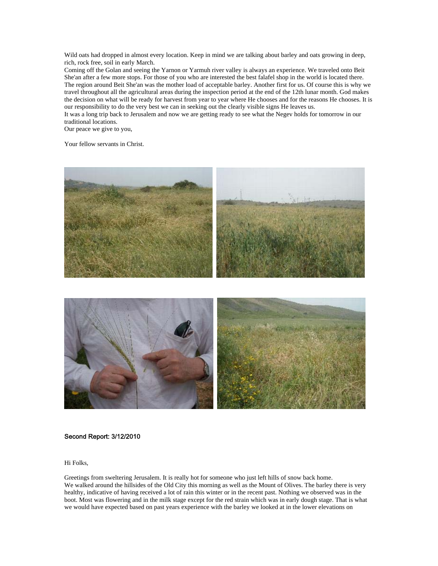Wild oats had dropped in almost every location. Keep in mind we are talking about barley and oats growing in deep, rich, rock free, soil in early March.

Coming off the Golan and seeing the Yarnon or Yarmuh river valley is always an experience. We traveled onto Beit She'an after a few more stops. For those of you who are interested the best falafel shop in the world is located there. The region around Beit She'an was the mother load of acceptable barley. Another first for us. Of course this is why we travel throughout all the agricultural areas during the inspection period at the end of the 12th lunar month. God makes the decision on what will be ready for harvest from year to year where He chooses and for the reasons He chooses. It is our responsibility to do the very best we can in seeking out the clearly visible signs He leaves us.

It was a long trip back to Jerusalem and now we are getting ready to see what the Negev holds for tomorrow in our traditional locations.

Our peace we give to you,

Your fellow servants in Christ.





### Second Report: 3/12/2010

Hi Folks,

Greetings from sweltering Jerusalem. It is really hot for someone who just left hills of snow back home. We walked around the hillsides of the Old City this morning as well as the Mount of Olives. The barley there is very healthy, indicative of having received a lot of rain this winter or in the recent past. Nothing we observed was in the boot. Most was flowering and in the milk stage except for the red strain which was in early dough stage. That is what we would have expected based on past years experience with the barley we looked at in the lower elevations on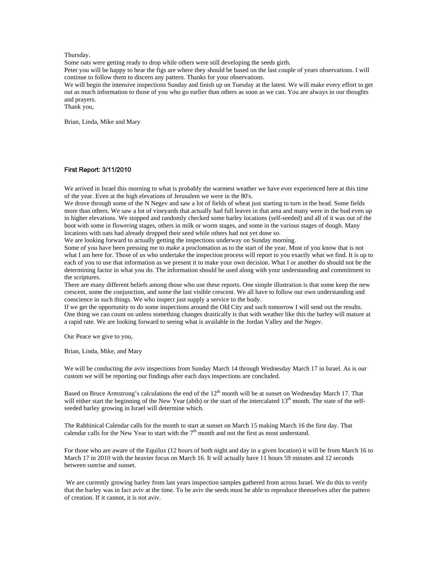### Thursday.

Some oats were getting ready to drop while others were still developing the seeds girth.

Peter you will be happy to hear the figs are where they should be based on the last couple of years observations. I will continue to follow them to discern any pattern. Thanks for your observations.

We will begin the intensive inspections Sunday and finish up on Tuesday at the latest. We will make every effort to get out as much information to those of you who go earlier than others as soon as we can. You are always in our thoughts and prayers.

Thank you,

Brian, Linda, Mike and Mary

### First Report: 3/11/2010

We arrived in Israel this morning to what is probably the warmest weather we have ever experienced here at this time of the year. Even at the high elevations of Jerusalem we were in the 80's.

We drove through some of the N Negev and saw a lot of fields of wheat just starting to turn in the head. Some fields more than others. We saw a lot of vineyards that actually had full leaves in that area and many were in the bud even up in higher elevations. We stopped and randomly checked some barley locations (self-seeded) and all of it was out of the boot with some in flowering stages, others in milk or worm stages, and some in the various stages of dough. Many locations with oats had already dropped their seed while others had not yet done so.

We are looking forward to actually getting the inspections underway on Sunday morning.

Some of you have been pressing me to make a proclomation as to the start of the year. Most of you know that is not what I am here for. Those of us who undertake the inspection process will report to you exactly what we find. It is up to each of you to use that information as we present it to make your own decision. What I or another do should not be the determining factor in what you do. The information should be used along with your understanding and commitment to the scriptures.

There are many different beliefs among those who use these reports. One simple illustration is that some keep the new crescent, some the conjunction, and some the last visible crescent. We all have to follow our own understanding and conscience in such things. We who inspect just supply a service to the body.

If we get the opportunity to do some inspections around the Old City and such tomorrow I will send out the results. One thing we can count on unless something changes drastically is that with weather like this the barley will mature at a rapid rate. We are looking forward to seeing what is available in the Jordan Valley and the Negev.

Our Peace we give to you,

Brian, Linda, Mike, and Mary

We will be conducting the aviv inspections from Sunday March 14 through Wednesday March 17 in Israel. As is our custom we will be reporting our findings after each days inspections are concluded.

Based on Bruce Armstrong's calculations the end of the 12<sup>th</sup> month will be at sunset on Wednesday March 17. That will either start the beginning of the New Year (abib) or the start of the intercalated  $13<sup>th</sup>$  month. The state of the selfseeded barley growing in Israel will determine which.

The Rabbinical Calendar calls for the month to start at sunset on March 15 making March 16 the first day. That calendar calls for the New Year to start with the  $7<sup>th</sup>$  month and not the first as most understand.

For those who are aware of the Equilux (12 hours of both night and day in a given location) it will be from March 16 to March 17 in 2010 with the heavier focus on March 16. It will actually have 11 hours 59 minutes and 12 seconds between sunrise and sunset.

 We are currently growing barley from last years inspection samples gathered from across Israel. We do this to verify that the barley was in fact aviv at the time. To be aviv the seeds must be able to reproduce themselves after the pattern of creation. If it cannot, it is not aviv.